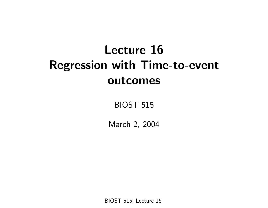# Lecture 16 Regression with Time-to-event outcomes

BIOST 515

March 2, 2004

BIOST 515, Lecture 16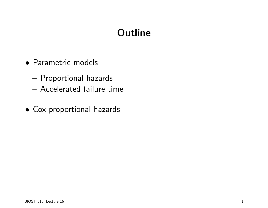# **Outline**

- Parametric models
	- Proportional hazards
	- Accelerated failure time
- Cox proportional hazards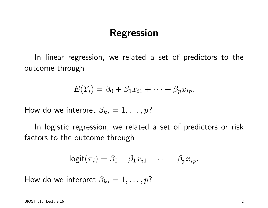## Regression

In linear regression, we related a set of predictors to the outcome through

$$
E(Y_i) = \beta_0 + \beta_1 x_{i1} + \cdots + \beta_p x_{ip}.
$$

How do we interpret  $\beta_k$ ,  $= 1, \ldots, p$ ?

In logistic regression, we related a set of predictors or risk factors to the outcome through

$$
logit(\pi_i) = \beta_0 + \beta_1 x_{i1} + \cdots + \beta_p x_{ip}.
$$

How do we interpret  $\beta_k$ , = 1, ..., p?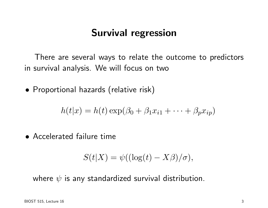## Survival regression

There are several ways to relate the outcome to predictors in survival analysis. We will focus on two

• Proportional hazards (relative risk)

$$
h(t|x) = h(t) \exp(\beta_0 + \beta_1 x_{i1} + \dots + \beta_p x_{ip})
$$

• Accelerated failure time

$$
S(t|X) = \psi((\log(t) - X\beta)/\sigma),
$$

where  $\psi$  is any standardized survival distribution.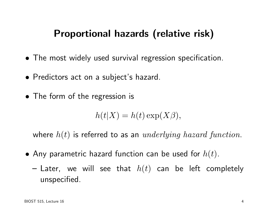## Proportional hazards (relative risk)

- The most widely used survival regression specification.
- Predictors act on a subject's hazard.
- The form of the regression is

$$
h(t|X) = h(t) \exp(X\beta),
$$

where  $h(t)$  is referred to as an underlying hazard function.

- Any parametric hazard function can be used for  $h(t)$ .
	- Later, we will see that  $h(t)$  can be left completely unspecified.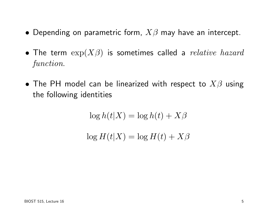- Depending on parametric form,  $X\beta$  may have an intercept.
- The term  $exp(X\beta)$  is sometimes called a *relative hazard* function.
- The PH model can be linearized with respect to  $X\beta$  using the following identities

$$
\log h(t|X) = \log h(t) + X\beta
$$

 $\log H(t|X) = \log H(t) + X\beta$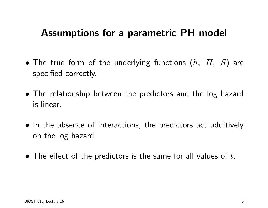## Assumptions for a parametric PH model

- The true form of the underlying functions  $(h, H, S)$  are specified correctly.
- The relationship between the predictors and the log hazard is linear.
- In the absence of interactions, the predictors act additively on the log hazard.
- The effect of the predictors is the same for all values of  $t$ .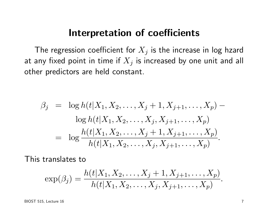#### Interpretation of coefficients

The regression coefficient for  $X_j$  is the increase in log hzard at any fixed point in time if  $X_j$  is increased by one unit and all other predictors are held constant.

$$
\beta_j = \log h(t|X_1, X_2, \dots, X_j + 1, X_{j+1}, \dots, X_p) -
$$
  

$$
\log h(t|X_1, X_2, \dots, X_j, X_{j+1}, \dots, X_p)
$$
  

$$
= \log \frac{h(t|X_1, X_2, \dots, X_j + 1, X_{j+1}, \dots, X_p)}{h(t|X_1, X_2, \dots, X_j, X_{j+1}, \dots, X_p)}.
$$

This translates to

$$
\exp(\beta_j) = \frac{h(t|X_1, X_2, \dots, X_j + 1, X_{j+1}, \dots, X_p)}{h(t|X_1, X_2, \dots, X_j, X_{j+1}, \dots, X_p)}.
$$

BIOST 515, Lecture 16 7 7 7 7 7 7 7 8 7 7 7 7 8 7 7 7 8 7 7 7 8 7 7 8 7 7 8 7 7 8 7 7 8 7 7 8 7 7 8 7 7 8 7 7 8 7 7 8 7 7 8 7 7 8 7 8 7 8 7 8 7 8 7 8 7 8 7 8 7 8 7 8 7 8 7 8 7 8 7 8 7 8 7 8 7 8 7 8 7 8 7 8 7 8 7 8 7 8 7 8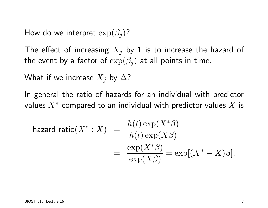How do we interpret  $\exp(\beta_i)$ ?

The effect of increasing  $X_j$  by 1 is to increase the hazard of the event by a factor of  $exp(\beta_i)$  at all points in time.

What if we increase  $X_j$  by  $\Delta$ ?

In general the ratio of hazards for an individual with predictor values  $X^{\ast}$  compared to an individual with predictor values  $X$  is

$$
\begin{array}{rcl}\n\textsf{hazard ratio}(X^*:X) & = & \frac{h(t)\exp(X^*\beta)}{h(t)\exp(X\beta)} \\
& = & \frac{\exp(X^*\beta)}{\exp(X\beta)} = \exp[(X^*-X)\beta].\n\end{array}
$$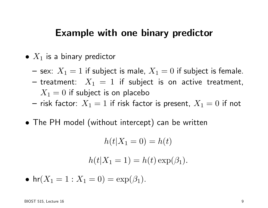#### Example with one binary predictor

•  $X_1$  is a binary predictor

– sex:  $X_1 = 1$  if subject is male,  $X_1 = 0$  if subject is female.

- treatment:  $X_1 = 1$  if subject is on active treatment,  $X_1 = 0$  if subject is on placebo
- risk factor:  $X_1 = 1$  if risk factor is present,  $X_1 = 0$  if not
- The PH model (without intercept) can be written

$$
h(t|X_1=0)=h(t)
$$

$$
h(t|X_1=1) = h(t) \exp(\beta_1).
$$

• hr( $X_1 = 1 : X_1 = 0$ ) = exp( $\beta_1$ ).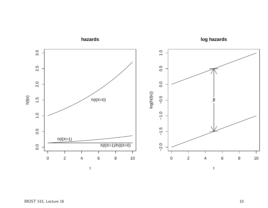

**hazards**

**log hazards**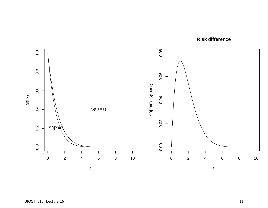**Risk difference**

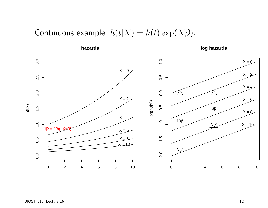Continuous example,  $h(t|X) = h(t) \exp(X\beta)$ .



BIOST 515, Lecture 16 12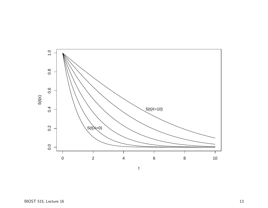

t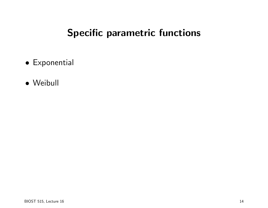## Specific parametric functions

- Exponential
- Weibull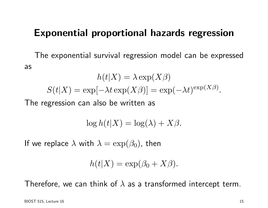#### Exponential proportional hazards regression

The exponential survival regression model can be expressed as

$$
h(t|X) = \lambda \exp(X\beta)
$$

$$
S(t|X) = \exp[-\lambda t \exp(X\beta)] = \exp(-\lambda t)^{\exp(X\beta)}.
$$

The regression can also be written as

$$
\log h(t|X) = \log(\lambda) + X\beta.
$$

If we replace  $\lambda$  with  $\lambda = \exp(\beta_0)$ , then

$$
h(t|X) = \exp(\beta_0 + X\beta).
$$

Therefore, we can think of  $\lambda$  as a transformed intercept term.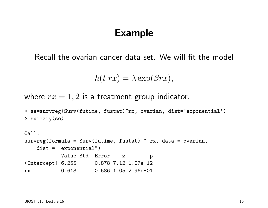## Example

Recall the ovarian cancer data set. We will fit the model

$$
h(t|rx) = \lambda \exp(\beta rx),
$$

where  $rx = 1, 2$  is a treatment group indicator.

```
> se=survreg(Surv(futime, fustat)~rx, ovarian, dist='exponential')
> summary(se)
```

```
Call:
survreg(formula = Surv(futime, fustat) \tilde{r} rx, data = ovarian,
   dist = "exponential")
          Value Std. Error z p
(Intercept) 6.255 0.878 7.12 1.07e-12
rx 0.613 0.586 1.05 2.96e-01
```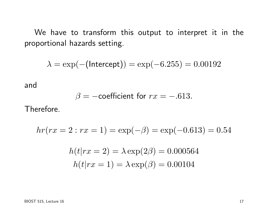We have to transform this output to interpret it in the proportional hazards setting.

$$
\lambda = \exp(-(\text{Intercept})) = \exp(-6.255) = 0.00192
$$

and

$$
\beta=-\text{coefficient for }rx=-.613.
$$

Therefore.

$$
hr(rx = 2 : rx = 1) = \exp(-\beta) = \exp(-0.613) = 0.54
$$

$$
h(t|rx = 2) = \lambda \exp(2\beta) = 0.000564
$$

$$
h(t|rx = 1) = \lambda \exp(\beta) = 0.00104
$$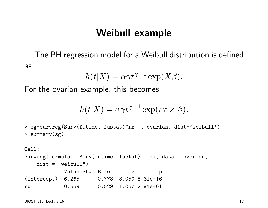#### Weibull example

The PH regression model for a Weibull distribution is defined as

$$
h(t|X) = \alpha \gamma t^{\gamma - 1} \exp(X\beta).
$$

For the ovarian example, this becomes

$$
h(t|X) = \alpha \gamma t^{\gamma - 1} \exp(r x \times \beta).
$$

```
> sg=survreg(Surv(futime, fustat)~rx , ovarian, dist='weibull')
> summary(sg)
```

```
Ca11:survreg(formula = Surv(futime, fustat) \tilde{r} rx, data = ovarian,
   dist = "weibull")Value Std. Error z p
(Intercept) 6.265 0.778 8.050 8.31e-16
rx 0.559 0.529 1.057 2.91e-01
```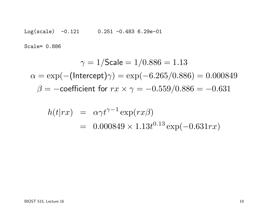Log(scale)  $-0.121$  0.251  $-0.483$  6.29e-01

Scale= 0.886

$$
\gamma = 1/\text{Scale} = 1/0.886 = 1.13
$$

$$
\alpha = \exp(-(\text{Intercept})\gamma) = \exp(-6.265/0.886) = 0.000849
$$

$$
\beta = -\text{coefficient for } rx \times \gamma = -0.559/0.886 = -0.631
$$

$$
h(t|rx) = \alpha \gamma t^{\gamma - 1} \exp(rx\beta)
$$
  
= 0.000849 × 1.13 $t^{0.13}$  exp(-0.631 $rx$ )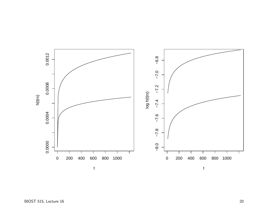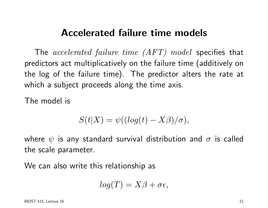#### Accelerated failure time models

The accelerated failure time (AFT) model specifies that predictors act multiplicatively on the failure time (additively on the log of the failure time). The predictor alters the rate at which a subject proceeds along the time axis.

The model is

$$
S(t|X) = \psi((log(t) - X\beta)/\sigma),
$$

where  $\psi$  is any standard survival distribution and  $\sigma$  is called the scale parameter.

We can also write this relationship as

$$
log(T) = X\beta + \sigma \epsilon,
$$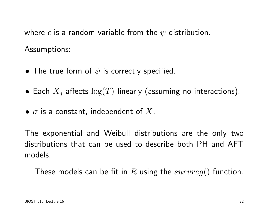where  $\epsilon$  is a random variable from the  $\psi$  distribution. Assumptions:

- The true form of  $\psi$  is correctly specified.
- Each  $X_j$  affects  $\log(T)$  linearly (assuming no interactions).
- $\sigma$  is a constant, independent of X.

The exponential and Weibull distributions are the only two distributions that can be used to describe both PH and AFT models.

These models can be fit in R using the  $survreg()$  function.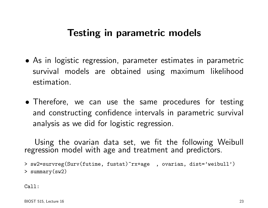## Testing in parametric models

- As in logistic regression, parameter estimates in parametric survival models are obtained using maximum likelihood estimation.
- Therefore, we can use the same procedures for testing and constructing confidence intervals in parametric survival analysis as we did for logistic regression.

Using the ovarian data set, we fit the following Weibull regression model with age and treatment and predictors.

```
> sw2=survreg(Surv(futime, fustat)~rx+age , ovarian, dist='weibull')
> summary(sw2)
```
Call:

BIOST 515, Lecture 16 23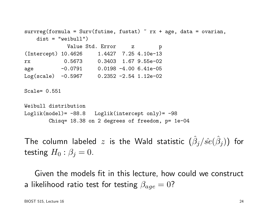```
survreg(formula = Surv(futime, fustat) \tilde{r} rx + age, data = ovarian,
   dist = "weibull")Value Std. Error z p
(Intercept) 10.4626 1.4427 7.25 4.10e-13
rx 0.5673 0.3403 1.67 9.55e-02
age -0.0791 0.0198 -4.00 6.41e-05
Log(scale) -0.5967 0.2352 -2.54 1.12e-02
```
Scale= 0.551

```
Weibull distribution
Loglik(model)= -88.8 Loglik(intercept only)= -98Chisq= 18.38 on 2 degrees of freedom, p= 1e-04
```
The column labeled  $z$  is the Wald statistic  $(\hat{\beta}_j/\hat{se}(\hat{\beta}_j))$  for testing  $H_0$  :  $\beta_i = 0$ .

Given the models fit in this lecture, how could we construct a likelihood ratio test for testing  $\beta_{age} = 0$ ?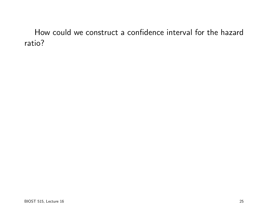How could we construct a confidence interval for the hazard ratio?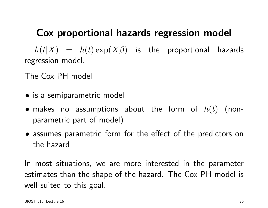## Cox proportional hazards regression model

 $h(t|X) = h(t) \exp(X\beta)$  is the proportional hazards regression model.

The Cox PH model

- is a semiparametric model
- makes no assumptions about the form of  $h(t)$  (nonparametric part of model)
- assumes parametric form for the effect of the predictors on the hazard

In most situations, we are more interested in the parameter estimates than the shape of the hazard. The Cox PH model is well-suited to this goal.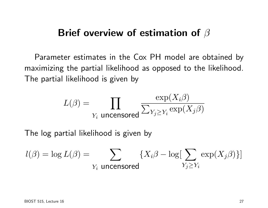#### Brief overview of estimation of  $\beta$

Parameter estimates in the Cox PH model are obtained by maximizing the partial likelihood as opposed to the likelihood. The partial likelihood is given by

$$
L(\beta) = \prod_{Y_i \text{ uncensored}} \frac{\exp(X_i \beta)}{\sum_{Y_j \ge Y_i} \exp(X_j \beta)}
$$

The log partial likelihood is given by

$$
l(\beta) = \log L(\beta) = \sum_{Y_i \text{ uncensored}} \{X_i \beta - \log[\sum_{Y_j \ge Y_i} \exp(X_j \beta)\}]
$$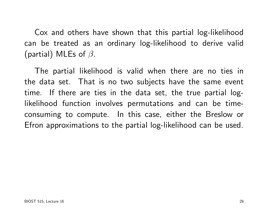Cox and others have shown that this partial log-likelihood can be treated as an ordinary log-likelihood to derive valid (partial) MLEs of  $\beta$ .

The partial likelihood is valid when there are no ties in the data set. That is no two subjects have the same event time. If there are ties in the data set, the true partial loglikelihood function involves permutations and can be timeconsuming to compute. In this case, either the Breslow or Efron approximations to the partial log-likelihood can be used.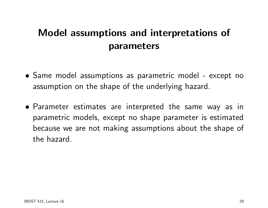## Model assumptions and interpretations of parameters

- Same model assumptions as parametric model except no assumption on the shape of the underlying hazard.
- Parameter estimates are interpreted the same way as in parametric models, except no shape parameter is estimated because we are not making assumptions about the shape of the hazard.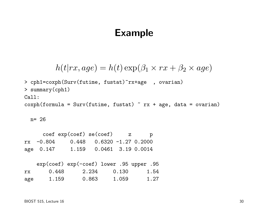#### Example

$$
h(t|rx, age) = h(t) \exp(\beta_1 \times rx + \beta_2 \times age)
$$

> cph1=coxph(Surv(futime, fustat)~rx+age , ovarian)

> summary(cph1)

Call:

 $cosph(formula = Surv(futime, fustat)$   $x + age$ , data = ovarian)

n= 26

|           | $\cot \exp(\cot) \sec(\cot)$          |                                | $\mathbf{Z}$ | P. |
|-----------|---------------------------------------|--------------------------------|--------------|----|
|           | $rx$ -0.804 0.448 0.6320 -1.27 0.2000 |                                |              |    |
| age 0.147 |                                       | 1.159   0.0461   3.19   0.0014 |              |    |

|     |          | $exp(coeff)$ exp $(-coeff)$ lower .95 upper .95 |       |      |
|-----|----------|-------------------------------------------------|-------|------|
|     | rx 0.448 | 2.234                                           | 0.130 | 1.54 |
| age | 1.159    | 0.863                                           | 1.059 | 1.27 |